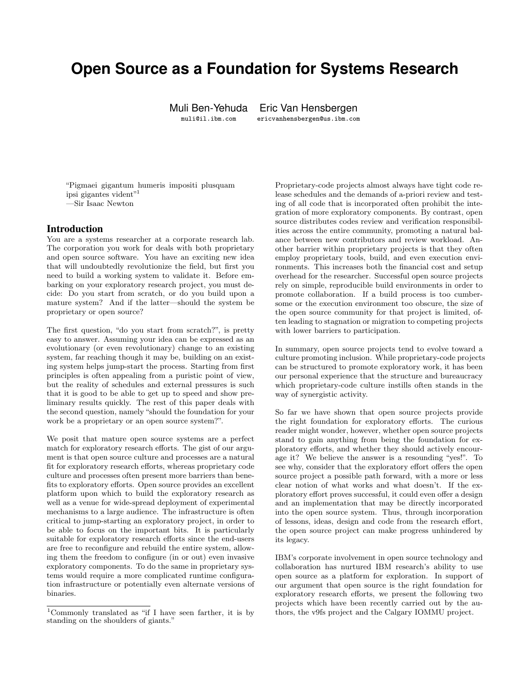# **Open Source as a Foundation for Systems Research**

Muli Ben-Yehuda Eric Van Hensbergen muli@il.ibm.com ericvanhensbergen@us.ibm.com

"Pigmaei gigantum humeris impositi plusquam ipsi gigantes vident"<sup>1</sup>

—Sir Isaac Newton

#### Introduction

You are a systems researcher at a corporate research lab. The corporation you work for deals with both proprietary and open source software. You have an exciting new idea that will undoubtedly revolutionize the field, but first you need to build a working system to validate it. Before embarking on your exploratory research project, you must decide: Do you start from scratch, or do you build upon a mature system? And if the latter—should the system be proprietary or open source?

The first question, "do you start from scratch?", is pretty easy to answer. Assuming your idea can be expressed as an evolutionary (or even revolutionary) change to an existing system, far reaching though it may be, building on an existing system helps jump-start the process. Starting from first principles is often appealing from a puristic point of view, but the reality of schedules and external pressures is such that it is good to be able to get up to speed and show preliminary results quickly. The rest of this paper deals with the second question, namely "should the foundation for your work be a proprietary or an open source system?".

We posit that mature open source systems are a perfect match for exploratory research efforts. The gist of our argument is that open source culture and processes are a natural fit for exploratory research efforts, whereas proprietary code culture and processes often present more barriers than benefits to exploratory efforts. Open source provides an excellent platform upon which to build the exploratory research as well as a venue for wide-spread deployment of experimental mechanisms to a large audience. The infrastructure is often critical to jump-starting an exploratory project, in order to be able to focus on the important bits. It is particularly suitable for exploratory research efforts since the end-users are free to reconfigure and rebuild the entire system, allowing them the freedom to configure (in or out) even invasive exploratory components. To do the same in proprietary systems would require a more complicated runtime configuration infrastructure or potentially even alternate versions of binaries.

Proprietary-code projects almost always have tight code release schedules and the demands of a-priori review and testing of all code that is incorporated often prohibit the integration of more exploratory components. By contrast, open source distributes codes review and verification responsibilities across the entire community, promoting a natural balance between new contributors and review workload. Another barrier within proprietary projects is that they often employ proprietary tools, build, and even execution environments. This increases both the financial cost and setup overhead for the researcher. Successful open source projects rely on simple, reproducible build environments in order to promote collaboration. If a build process is too cumbersome or the execution environment too obscure, the size of the open source community for that project is limited, often leading to stagnation or migration to competing projects with lower barriers to participation.

In summary, open source projects tend to evolve toward a culture promoting inclusion. While proprietary-code projects can be structured to promote exploratory work, it has been our personal experience that the structure and bureaucracy which proprietary-code culture instills often stands in the way of synergistic activity.

So far we have shown that open source projects provide the right foundation for exploratory efforts. The curious reader might wonder, however, whether open source projects stand to gain anything from being the foundation for exploratory efforts, and whether they should actively encourage it? We believe the answer is a resounding "yes!". To see why, consider that the exploratory effort offers the open source project a possible path forward, with a more or less clear notion of what works and what doesn't. If the exploratory effort proves successful, it could even offer a design and an implementation that may be directly incorporated into the open source system. Thus, through incorporation of lessons, ideas, design and code from the research effort, the open source project can make progress unhindered by its legacy.

IBM's corporate involvement in open source technology and collaboration has nurtured IBM research's ability to use open source as a platform for exploration. In support of our argument that open source is the right foundation for exploratory research efforts, we present the following two projects which have been recently carried out by the authors, the v9fs project and the Calgary IOMMU project.

<sup>&</sup>lt;sup>1</sup>Commonly translated as "if I have seen farther, it is by standing on the shoulders of giants."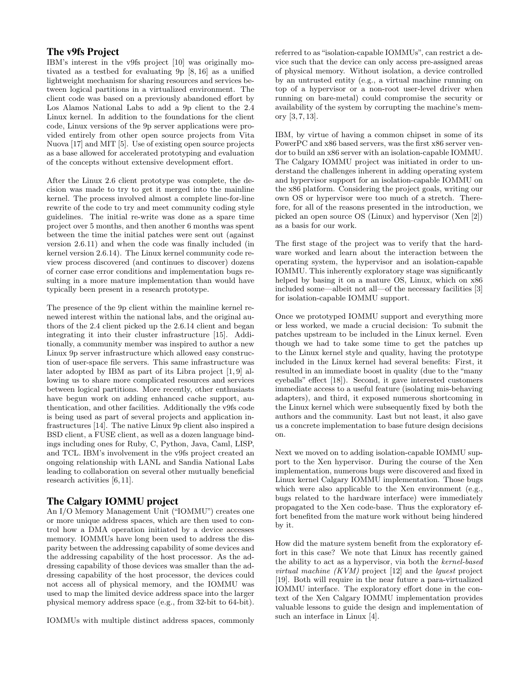## The v9fs Project

IBM's interest in the v9fs project [10] was originally motivated as a testbed for evaluating 9p [8, 16] as a unified lightweight mechanism for sharing resources and services between logical partitions in a virtualized environment. The client code was based on a previously abandoned effort by Los Alamos National Labs to add a 9p client to the 2.4 Linux kernel. In addition to the foundations for the client code, Linux versions of the 9p server applications were provided entirely from other open source projects from Vita Nuova [17] and MIT [5]. Use of existing open source projects as a base allowed for accelerated prototyping and evaluation of the concepts without extensive development effort.

After the Linux 2.6 client prototype was complete, the decision was made to try to get it merged into the mainline kernel. The process involved almost a complete line-for-line rewrite of the code to try and meet community coding style guidelines. The initial re-write was done as a spare time project over 5 months, and then another 6 months was spent between the time the initial patches were sent out (against version 2.6.11) and when the code was finally included (in kernel version 2.6.14). The Linux kernel community code review process discovered (and continues to discover) dozens of corner case error conditions and implementation bugs resulting in a more mature implementation than would have typically been present in a research prototype.

The presence of the 9p client within the mainline kernel renewed interest within the national labs, and the original authors of the 2.4 client picked up the 2.6.14 client and began integrating it into their cluster infrastructure [15]. Additionally, a community member was inspired to author a new Linux 9p server infrastructure which allowed easy construction of user-space file servers. This same infrastructure was later adopted by IBM as part of its Libra project [1, 9] allowing us to share more complicated resources and services between logical partitions. More recently, other enthusiasts have begun work on adding enhanced cache support, authentication, and other facilities. Additionally the v9fs code is being used as part of several projects and application infrastructures [14]. The native Linux 9p client also inspired a BSD client, a FUSE client, as well as a dozen language bindings including ones for Ruby, C, Python, Java, Caml, LISP, and TCL. IBM's involvement in the v9fs project created an ongoing relationship with LANL and Sandia National Labs leading to collaboration on several other mutually beneficial research activities [6, 11].

# The Calgary IOMMU project

An I/O Memory Management Unit ("IOMMU") creates one or more unique address spaces, which are then used to control how a DMA operation initiated by a device accesses memory. IOMMUs have long been used to address the disparity between the addressing capability of some devices and the addressing capability of the host processor. As the addressing capability of those devices was smaller than the addressing capability of the host processor, the devices could not access all of physical memory, and the IOMMU was used to map the limited device address space into the larger physical memory address space (e.g., from 32-bit to 64-bit).

IOMMUs with multiple distinct address spaces, commonly

referred to as "isolation-capable IOMMUs", can restrict a device such that the device can only access pre-assigned areas of physical memory. Without isolation, a device controlled by an untrusted entity (e.g., a virtual machine running on top of a hypervisor or a non-root user-level driver when running on bare-metal) could compromise the security or availability of the system by corrupting the machine's memory [3, 7, 13].

IBM, by virtue of having a common chipset in some of its PowerPC and x86 based servers, was the first x86 server vendor to build an x86 server with an isolation-capable IOMMU. The Calgary IOMMU project was initiated in order to understand the challenges inherent in adding operating system and hypervisor support for an isolation-capable IOMMU on the x86 platform. Considering the project goals, writing our own OS or hypervisor were too much of a stretch. Therefore, for all of the reasons presented in the introduction, we picked an open source OS (Linux) and hypervisor (Xen [2]) as a basis for our work.

The first stage of the project was to verify that the hardware worked and learn about the interaction between the operating system, the hypervisor and an isolation-capable IOMMU. This inherently exploratory stage was significantly helped by basing it on a mature OS, Linux, which on  $x86$ included some—albeit not all—of the necessary facilities [3] for isolation-capable IOMMU support.

Once we prototyped IOMMU support and everything more or less worked, we made a crucial decision: To submit the patches upstream to be included in the Linux kernel. Even though we had to take some time to get the patches up to the Linux kernel style and quality, having the prototype included in the Linux kernel had several benefits: First, it resulted in an immediate boost in quality (due to the "many eyeballs" effect [18]). Second, it gave interested customers immediate access to a useful feature (isolating mis-behaving adapters), and third, it exposed numerous shortcoming in the Linux kernel which were subsequently fixed by both the authors and the community. Last but not least, it also gave us a concrete implementation to base future design decisions on.

Next we moved on to adding isolation-capable IOMMU support to the Xen hypervisor. During the course of the Xen implementation, numerous bugs were discovered and fixed in Linux kernel Calgary IOMMU implementation. Those bugs which were also applicable to the Xen environment (e.g., bugs related to the hardware interface) were immediately propagated to the Xen code-base. Thus the exploratory effort benefited from the mature work without being hindered by it.

How did the mature system benefit from the exploratory effort in this case? We note that Linux has recently gained the ability to act as a hypervisor, via both the kernel-based *virtual machine (KVM)* project  $[12]$  and the *lguest* project [19]. Both will require in the near future a para-virtualized IOMMU interface. The exploratory effort done in the context of the Xen Calgary IOMMU implementation provides valuable lessons to guide the design and implementation of such an interface in Linux [4].